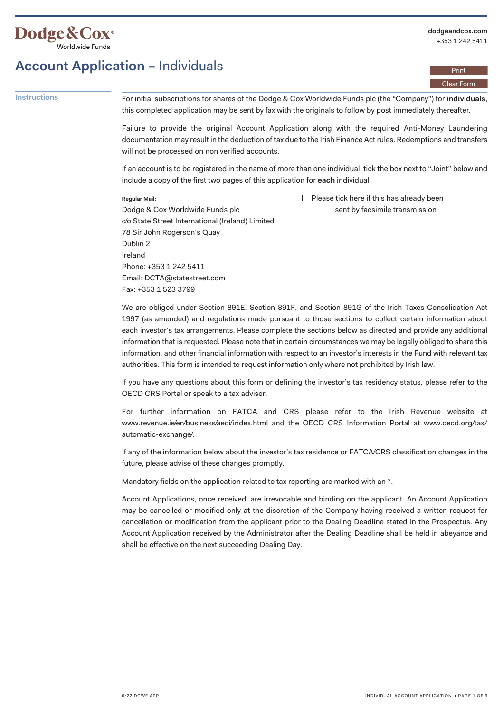

Print Clear Form

### **Account Application –** Individuals

**Instructions** For initial subscriptions for shares of the Dodge & Cox Worldwide Funds plc (the "Company") for **individuals**, this completed application may be sent by fax with the originals to follow by post immediately thereafter.

> Failure to provide the original Account Application along with the required Anti-Money Laundering documentation may result in the deduction of tax due to the Irish Finance Act rules. Redemptions and transfers will not be processed on non verified accounts.

> If an account is to be registered in the name of more than one individual, tick the box next to "Joint" below and include a copy of the first two pages of this application for **each** individual.

#### **Regular Mail:**

 $\Box$  Please tick here if this has already been sent by facsimile transmission

Regular Mail:<br>Dodge & Cox Worldwide Funds plc c/o State Street International (Ireland) Limited 78 Sir John Rogerson's Quay Dublin 2 Ireland Phone: +353 1 242 5411 Email: DCTA@statestreet.com Fax: +353 1 523 3799

We are obliged under Section 891E, Section 891F, and Section 891G of the Irish Taxes Consolidation Act 1997 (as amended) and regulations made pursuant to those sections to collect certain information about each investor's tax arrangements. Please complete the sections below as directed and provide any additional information that is requested. Please note that in certain circumstances we may be legally obliged to share this information, and other financial information with respect to an investor's interests in the Fund with relevant tax authorities. This form is intended to request information only where not prohibited by Irish law.

If you have any questions about this form or defining the investor's tax residency status, please refer to the OECD CRS Portal or speak to a tax adviser.

For further information on FATCA and CRS please refer to the Irish Revenue website at <www.revenue.ie/en/business/aeoi/index.html>and the OECD CRS Information Portal at [www.oecd.org/tax](www.oecd.org/tax/automatic-exchange/)/ automatic-exchange/.

If any of the information below about the investor's tax residence or FATCA/CRS classification changes in the future, please advise of these changes promptly.

Mandatory fields on the application related to tax reporting are marked with an  $*$ .

Account Applications, once received, are irrevocable and binding on the applicant. An Account Application may be cancelled or modified only at the discretion of the Company having received a written request for cancellation or modification from the applicant prior to the Dealing Deadline stated in the Prospectus. Any Account Application received by the Administrator after the Dealing Deadline shall be held in abeyance and shall be effective on the next succeeding Dealing Day.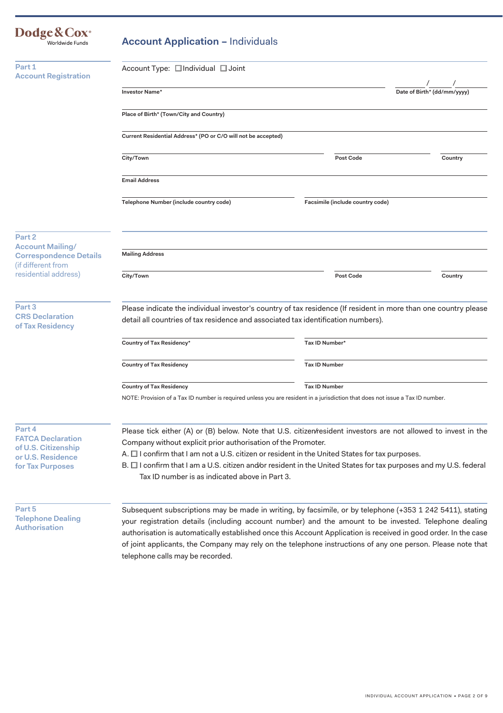| Dodge & Cox <sup>®</sup><br>Worldwide Funds                                                        | <b>Account Application - Individuals</b>                                                                                                                                                                                                                                                                                                                                                                                                                  |                                  |                             |  |
|----------------------------------------------------------------------------------------------------|-----------------------------------------------------------------------------------------------------------------------------------------------------------------------------------------------------------------------------------------------------------------------------------------------------------------------------------------------------------------------------------------------------------------------------------------------------------|----------------------------------|-----------------------------|--|
| Part 1                                                                                             | Account Type: □ Individual □ Joint                                                                                                                                                                                                                                                                                                                                                                                                                        |                                  |                             |  |
| <b>Account Registration</b>                                                                        | Investor Name*                                                                                                                                                                                                                                                                                                                                                                                                                                            |                                  | Date of Birth* (dd/mm/yyyy) |  |
|                                                                                                    | Place of Birth* (Town/City and Country)                                                                                                                                                                                                                                                                                                                                                                                                                   |                                  |                             |  |
|                                                                                                    | Current Residential Address* (PO or C/O will not be accepted)                                                                                                                                                                                                                                                                                                                                                                                             |                                  |                             |  |
|                                                                                                    | City/Town                                                                                                                                                                                                                                                                                                                                                                                                                                                 | Post Code                        | Country                     |  |
|                                                                                                    | <b>Email Address</b>                                                                                                                                                                                                                                                                                                                                                                                                                                      |                                  |                             |  |
|                                                                                                    | Telephone Number (include country code)                                                                                                                                                                                                                                                                                                                                                                                                                   | Facsimile (include country code) |                             |  |
| Part <sub>2</sub>                                                                                  |                                                                                                                                                                                                                                                                                                                                                                                                                                                           |                                  |                             |  |
| <b>Account Mailing/</b><br><b>Correspondence Details</b><br>(if different from                     | <b>Mailing Address</b>                                                                                                                                                                                                                                                                                                                                                                                                                                    |                                  |                             |  |
| residential address)                                                                               | City/Town                                                                                                                                                                                                                                                                                                                                                                                                                                                 | Post Code                        | Country                     |  |
| Part 3<br><b>CRS</b> Declaration                                                                   | Please indicate the individual investor's country of tax residence (If resident in more than one country please<br>detail all countries of tax residence and associated tax identification numbers).                                                                                                                                                                                                                                                      |                                  |                             |  |
| of Tax Residency                                                                                   | Country of Tax Residency*                                                                                                                                                                                                                                                                                                                                                                                                                                 | Tax ID Number*                   |                             |  |
|                                                                                                    | <b>Country of Tax Residency</b>                                                                                                                                                                                                                                                                                                                                                                                                                           | <b>Tax ID Number</b>             |                             |  |
|                                                                                                    | <b>Country of Tax Residency</b>                                                                                                                                                                                                                                                                                                                                                                                                                           | <b>Tax ID Number</b>             |                             |  |
|                                                                                                    | NOTE: Provision of a Tax ID number is required unless you are resident in a jurisdiction that does not issue a Tax ID number.                                                                                                                                                                                                                                                                                                                             |                                  |                             |  |
| Part 4<br><b>FATCA Declaration</b><br>of U.S. Citizenship<br>or U.S. Residence<br>for Tax Purposes | Please tick either (A) or (B) below. Note that U.S. citizen/resident investors are not allowed to invest in the<br>Company without explicit prior authorisation of the Promoter.<br>A. □ I confirm that I am not a U.S. citizen or resident in the United States for tax purposes.<br>B. □ I confirm that I am a U.S. citizen and/or resident in the United States for tax purposes and my U.S. federal<br>Tax ID number is as indicated above in Part 3. |                                  |                             |  |
| Part 5<br><b>Telephone Dealing</b><br><b>Authorisation</b>                                         | Subsequent subscriptions may be made in writing, by facsimile, or by telephone (+353 1 242 5411), stating<br>your registration details (including account number) and the amount to be invested. Telephone dealing<br>authorisation is automatically established once this Account Application is received in good order. In the case<br>of joint applicants, the Company may rely on the telephone instructions of any one person. Please note that      |                                  |                             |  |

telephone calls may be recorded.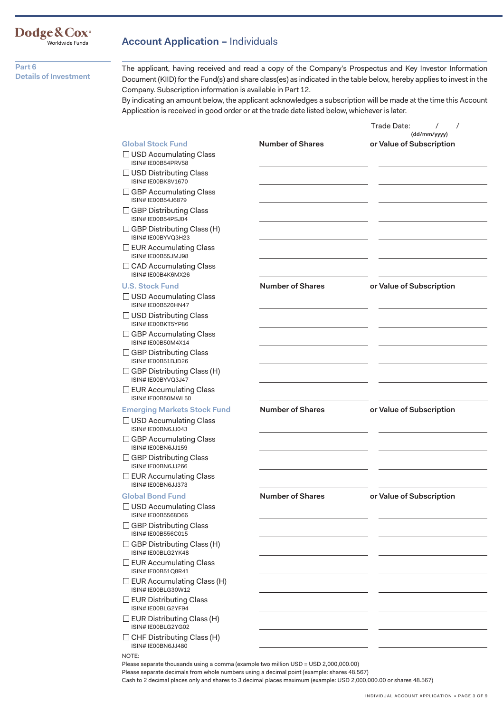## Dodge&Cox<sup>®</sup><br>
<sup>Worldwide Funds</sup>

**Part 6 Details of Investment**  **Account Application –** Individuals

The applicant, having received and read a copy of the Company's Prospectus and Key Investor Information Document (KIID) for the Fund(s) and share class(es) as indicated in the table below, hereby applies to invest in the Company. Subscription information is available in Part 12.

By indicating an amount below, the applicant acknowledges a subscription will be made at the time this Account Application is received in good order or at the trade date listed below, whichever is later.

|                                                            |                         | Trade Date:<br>$\sqrt{2}$<br>(dd/mm/yyyy) |
|------------------------------------------------------------|-------------------------|-------------------------------------------|
| <b>Global Stock Fund</b>                                   | <b>Number of Shares</b> | or Value of Subscription                  |
| $\Box$ USD Accumulating Class<br>ISIN# IE00B54PRV58        |                         |                                           |
| $\Box$ USD Distributing Class<br><b>ISIN# IE00BK8V1670</b> |                         |                                           |
| □ GBP Accumulating Class<br>ISIN# IE00B54J6879             |                         |                                           |
| $\Box$ GBP Distributing Class<br>ISIN# IE00B54PSJ04        |                         |                                           |
| $\Box$ GBP Distributing Class (H)<br>ISIN# IE00BYVQ3H23    |                         |                                           |
| $\Box$ EUR Accumulating Class<br>ISIN# IE00B55JMJ98        |                         |                                           |
| □ CAD Accumulating Class<br>ISIN# IE00B4K6MX26             |                         |                                           |
| <b>U.S. Stock Fund</b>                                     | <b>Number of Shares</b> | or Value of Subscription                  |
| $\Box$ USD Accumulating Class<br>ISIN# IE00B520HN47        |                         |                                           |
| $\Box$ USD Distributing Class<br>ISIN# IF00BKT5YP86        |                         |                                           |
| $\Box$ GBP Accumulating Class<br>ISIN# IE00B50M4X14        |                         |                                           |
| □ GBP Distributing Class<br>ISIN# IE00B51BJD26             |                         |                                           |
| □ GBP Distributing Class (H)<br>ISIN# IE00BYVQ3J47         |                         |                                           |
| $\Box$ EUR Accumulating Class<br>ISIN# IE00B50MWL50        |                         |                                           |
| <b>Emerging Markets Stock Fund</b>                         | <b>Number of Shares</b> | or Value of Subscription                  |
| $\Box$ USD Accumulating Class<br>ISIN# IE00BN6JJ043        |                         |                                           |
| $\Box$ GBP Accumulating Class<br>ISIN# IE00BN6JJ159        |                         |                                           |
| $\Box$ GBP Distributing Class<br>ISIN# IE00BN6JJ266        |                         |                                           |
| $\Box$ EUR Accumulating Class<br>ISIN# IE00BN6JJ373        |                         |                                           |
| <b>Global Bond Fund</b>                                    | <b>Number of Shares</b> | or Value of Subscription                  |
| $\Box$ USD Accumulating Class<br>ISIN# IE00B5568D66        |                         |                                           |
| $\Box$ GBP Distributing Class<br>ISIN# IE00B556C015        |                         |                                           |
| $\Box$ GBP Distributing Class (H)<br>ISIN# IE00BLG2YK48    |                         |                                           |
| $\Box$ EUR Accumulating Class<br>ISIN# IE00B51Q8R41        |                         |                                           |
| $\Box$ EUR Accumulating Class (H)<br>ISIN# IE00BLG30W12    |                         |                                           |
| $\sqsupset$ EUR Distributing Class<br>ISIN# IE00BLG2YF94   |                         |                                           |
| $\Box$ EUR Distributing Class (H)<br>ISIN# IE00BLG2YG02    |                         |                                           |
| $\Box$ CHF Distributing Class (H)                          |                         |                                           |

Please separate decimals from whole numbers using a decimal point (example: shares 48.567)

Cash to 2 decimal places only and shares to 3 decimal places maximum (example: USD 2,000,000.00 or shares 48.567)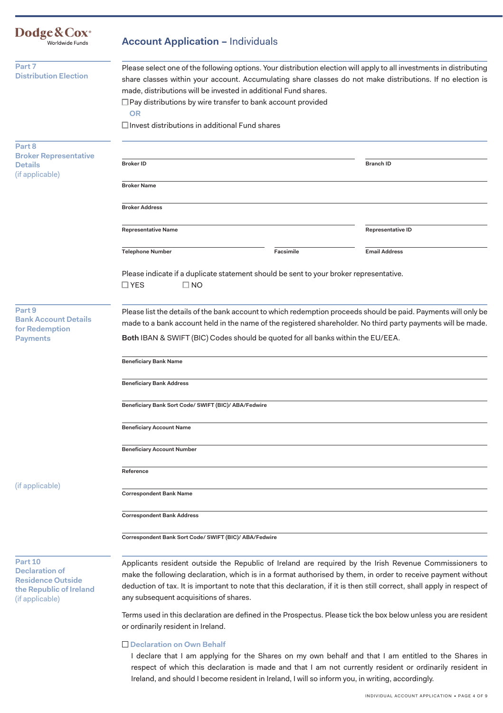| Dodge & Cox <sup>®</sup><br>Worldwide Funds                                                                | <b>Account Application - Individuals</b>                                                                                                                                                                                                                                                                                                                                                                                                          |           |                      |  |
|------------------------------------------------------------------------------------------------------------|---------------------------------------------------------------------------------------------------------------------------------------------------------------------------------------------------------------------------------------------------------------------------------------------------------------------------------------------------------------------------------------------------------------------------------------------------|-----------|----------------------|--|
| Part 7<br><b>Distribution Election</b>                                                                     | Please select one of the following options. Your distribution election will apply to all investments in distributing<br>share classes within your account. Accumulating share classes do not make distributions. If no election is<br>made, distributions will be invested in additional Fund shares.<br>$\Box$ Pay distributions by wire transfer to bank account provided<br><b>OR</b><br>$\Box$ Invest distributions in additional Fund shares |           |                      |  |
| Part 8<br><b>Broker Representative</b><br><b>Details</b>                                                   | <b>Broker ID</b>                                                                                                                                                                                                                                                                                                                                                                                                                                  |           | <b>Branch ID</b>     |  |
| (if applicable)                                                                                            | <b>Broker Name</b>                                                                                                                                                                                                                                                                                                                                                                                                                                |           |                      |  |
|                                                                                                            | <b>Broker Address</b>                                                                                                                                                                                                                                                                                                                                                                                                                             |           |                      |  |
|                                                                                                            | <b>Representative Name</b>                                                                                                                                                                                                                                                                                                                                                                                                                        |           | Representative ID    |  |
|                                                                                                            | <b>Telephone Number</b>                                                                                                                                                                                                                                                                                                                                                                                                                           | Facsimile | <b>Email Address</b> |  |
|                                                                                                            | Please indicate if a duplicate statement should be sent to your broker representative.<br>$\square$ YES<br>$\square$ NO                                                                                                                                                                                                                                                                                                                           |           |                      |  |
| Part 9<br><b>Bank Account Details</b><br>for Redemption<br><b>Payments</b>                                 | Please list the details of the bank account to which redemption proceeds should be paid. Payments will only be<br>made to a bank account held in the name of the registered shareholder. No third party payments will be made.<br>Both IBAN & SWIFT (BIC) Codes should be quoted for all banks within the EU/EEA.                                                                                                                                 |           |                      |  |
|                                                                                                            | <b>Beneficiary Bank Name</b>                                                                                                                                                                                                                                                                                                                                                                                                                      |           |                      |  |
|                                                                                                            | <b>Beneficiary Bank Address</b>                                                                                                                                                                                                                                                                                                                                                                                                                   |           |                      |  |
|                                                                                                            | Beneficiary Bank Sort Code/ SWIFT (BIC)/ ABA/Fedwire                                                                                                                                                                                                                                                                                                                                                                                              |           |                      |  |
|                                                                                                            | <b>Beneficiary Account Name</b>                                                                                                                                                                                                                                                                                                                                                                                                                   |           |                      |  |
|                                                                                                            | <b>Beneficiary Account Number</b>                                                                                                                                                                                                                                                                                                                                                                                                                 |           |                      |  |
|                                                                                                            | Reference                                                                                                                                                                                                                                                                                                                                                                                                                                         |           |                      |  |
| (if applicable)                                                                                            | <b>Correspondent Bank Name</b>                                                                                                                                                                                                                                                                                                                                                                                                                    |           |                      |  |
|                                                                                                            | <b>Correspondent Bank Address</b>                                                                                                                                                                                                                                                                                                                                                                                                                 |           |                      |  |
|                                                                                                            | Correspondent Bank Sort Code/ SWIFT (BIC)/ ABA/Fedwire                                                                                                                                                                                                                                                                                                                                                                                            |           |                      |  |
| Part 10<br><b>Declaration of</b><br><b>Residence Outside</b><br>the Republic of Ireland<br>(if applicable) | Applicants resident outside the Republic of Ireland are required by the Irish Revenue Commissioners to<br>make the following declaration, which is in a format authorised by them, in order to receive payment without<br>deduction of tax. It is important to note that this declaration, if it is then still correct, shall apply in respect of<br>any subsequent acquisitions of shares.                                                       |           |                      |  |
|                                                                                                            | Terms used in this declaration are defined in the Prospectus. Please tick the box below unless you are resident<br>or ordinarily resident in Ireland.                                                                                                                                                                                                                                                                                             |           |                      |  |
|                                                                                                            |                                                                                                                                                                                                                                                                                                                                                                                                                                                   |           |                      |  |

□ Declaration on Own Behalf

I declare that I am applying for the Shares on my own behalf and that I am entitled to the Shares in respect of which this declaration is made and that I am not currently resident or ordinarily resident in Ireland, and should I become resident in Ireland, I will so inform you, in writing, accordingly.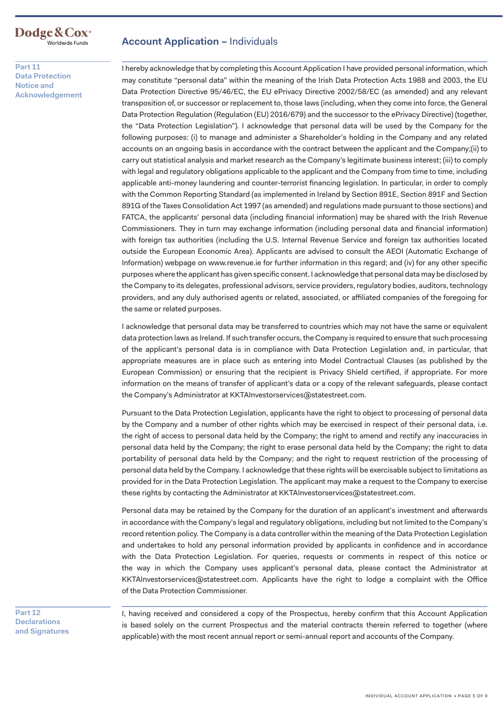

**Part 11 Data Protection Notice and Acknowledgement** 

#### **Account Application – Individuals**

I hereby acknowledge that by completing this Account Application I have provided personal information, which may constitute "personal data" within the meaning of the Irish Data Protection Acts 1988 and 2003, the EU Data Protection Directive 95/46/EC, the EU ePrivacy Directive 2002/58/EC (as amended) and any relevant transposition of, or successor or replacement to, those laws (including, when they come into force, the General Data Protection Regulation (Regulation (EU) 2016/679) and the successor to the ePrivacy Directive) (together, the "Data Protection Legislation"). I acknowledge that personal data will be used by the Company for the following purposes: (i) to manage and administer a Shareholder's holding in the Company and any related accounts on an ongoing basis in accordance with the contract between the applicant and the Company;(ii) to carry out statistical analysis and market research as the Company's legitimate business interest; (iii) to comply with legal and regulatory obligations applicable to the applicant and the Company from time to time, including applicable anti-money laundering and counter-terrorist financing legislation. In particular, in order to comply with the Common Reporting Standard (as implemented in Ireland by Section 891E, Section 891F and Section 891G of the Taxes Consolidation Act 1997 (as amended) and regulations made pursuant to those sections) and FATCA, the applicants' personal data (including financial information) may be shared with the Irish Revenue Commissioners. They in turn may exchange information (including personal data and financial information) with foreign tax authorities (including the U.S. Internal Revenue Service and foreign tax authorities located outside the European Economic Area). Applicants are advised to consult the AEOI (Automatic Exchange of Information) webpage on <www.revenue.ie>for further information in this regard; and (iv) for any other specific purposes where the applicant has given specific consent. I acknowledge that personal data may be disclosed by the Company to its delegates, professional advisors, service providers, regulatory bodies, auditors, technology providers, and any duly authorised agents or related, associated, or affiliated companies of the foregoing for the same or related purposes.

I acknowledge that personal data may be transferred to countries which may not have the same or equivalent data protection laws as Ireland. If such transfer occurs, the Company is required to ensure that such processing of the applicant's personal data is in compliance with Data Protection Legislation and, in particular, that appropriate measures are in place such as entering into Model Contractual Clauses (as published by the European Commission) or ensuring that the recipient is Privacy Shield certified, if appropriate. For more information on the means of transfer of applicant's data or a copy of the relevant safeguards, please contact the Company's Administrator at [KKTAInvestorservices@statestreet.com.](mailto:KKTAInvestorservices@statestreet.com)

Pursuant to the Data Protection Legislation, applicants have the right to object to processing of personal data by the Company and a number of other rights which may be exercised in respect of their personal data, i.e. the right of access to personal data held by the Company; the right to amend and rectify any inaccuracies in personal data held by the Company; the right to erase personal data held by the Company; the right to data portability of personal data held by the Company; and the right to request restriction of the processing of personal data held by the Company. I acknowledge that these rights will be exercisable subject to limitations as provided for in the Data Protection Legislation. The applicant may make a request to the Company to exercise these rights by contacting the Administrator at [KKTAInvestorservices@statestreet.com.](mailto:KKTAInvestorservices@statestreet.com)

Personal data may be retained by the Company for the duration of an applicant's investment and afterwards in accordance with the Company's legal and regulatory obligations, including but not limited to the Company's record retention policy. The Company is a data controller within the meaning of the Data Protection Legislation and undertakes to hold any personal information provided by applicants in confidence and in accordance with the Data Protection Legislation. For queries, requests or comments in respect of this notice or the way in which the Company uses applicant's personal data, please contact the Administrator at [KKTAInvestorservices@statestreet.com](mailto:KKTAInvestorservices@statestreet.com). Applicants have the right to lodge a complaint with the Office of the Data Protection Commissioner.

**Part 12 Declarations and Signatures** 

I, having received and considered a copy of the Prospectus, hereby confirm that this Account Application is based solely on the current Prospectus and the material contracts therein referred to together (where applicable) with the most recent annual report or semi-annual report and accounts of the Company.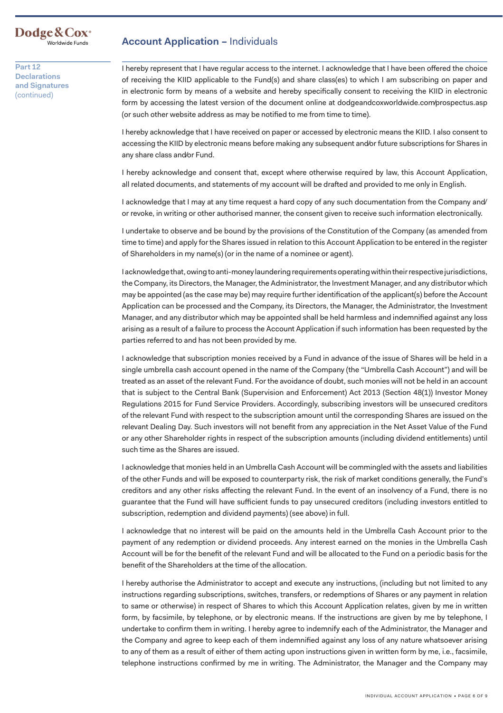# Dodge & Cox<sup>®</sup><br><sup>Worldwide Funds</sub></sup>

**Part 12 Declarations and Signatures**  (continued)

### **Account Application – Individuals**

I hereby represent that I have regular access to the internet. I acknowledge that I have been offered the choice of receiving the KIID applicable to the Fund(s) and share class(es) to which I am subscribing on paper and in electronic form by means of a website and hereby specifically consent to receiving the KIID in electronic form by accessing the latest version of the document online at <dodgeandcoxworldwide.com/prospectus.asp> (or such other website address as may be notified to me from time to time).

I hereby acknowledge that I have received on paper or accessed by electronic means the KIID. I also consent to accessing the KIID by electronic means before making any subsequent and/or future subscriptions for Shares in any share class and/or Fund.

I hereby acknowledge and consent that, except where otherwise required by law, this Account Application, all related documents, and statements of my account will be drafted and provided to me only in English.

I acknowledge that I may at any time request a hard copy of any such documentation from the Company and/ or revoke, in writing or other authorised manner, the consent given to receive such information electronically.

I undertake to observe and be bound by the provisions of the Constitution of the Company (as amended from time to time) and apply for the Shares issued in relation to this Account Application to be entered in the register of Shareholders in my name(s) (or in the name of a nominee or agent).

I acknowledge that, owing to anti-money laundering requirements operating within their respective jurisdictions, the Company, its Directors, the Manager, the Administrator, the Investment Manager, and any distributor which may be appointed (as the case may be) may require further identification of the applicant(s) before the Account Application can be processed and the Company, its Directors, the Manager, the Administrator, the Investment Manager, and any distributor which may be appointed shall be held harmless and indemnified against any loss arising as a result of a failure to process the Account Application if such information has been requested by the parties referred to and has not been provided by me.

I acknowledge that subscription monies received by a Fund in advance of the issue of Shares will be held in a single umbrella cash account opened in the name of the Company (the "Umbrella Cash Account") and will be treated as an asset of the relevant Fund. For the avoidance of doubt, such monies will not be held in an account that is subject to the Central Bank (Supervision and Enforcement) Act 2013 (Section 48(1)) Investor Money Regulations 2015 for Fund Service Providers. Accordingly, subscribing investors will be unsecured creditors of the relevant Fund with respect to the subscription amount until the corresponding Shares are issued on the relevant Dealing Day. Such investors will not benefit from any appreciation in the Net Asset Value of the Fund or any other Shareholder rights in respect of the subscription amounts (including dividend entitlements) until such time as the Shares are issued.

I acknowledge that monies held in an Umbrella Cash Account will be commingled with the assets and liabilities of the other Funds and will be exposed to counterparty risk, the risk of market conditions generally, the Fund's creditors and any other risks affecting the relevant Fund. In the event of an insolvency of a Fund, there is no guarantee that the Fund will have sufficient funds to pay unsecured creditors (including investors entitled to subscription, redemption and dividend payments) (see above) in full.

I acknowledge that no interest will be paid on the amounts held in the Umbrella Cash Account prior to the payment of any redemption or dividend proceeds. Any interest earned on the monies in the Umbrella Cash Account will be for the benefit of the relevant Fund and will be allocated to the Fund on a periodic basis for the benefit of the Shareholders at the time of the allocation.

I hereby authorise the Administrator to accept and execute any instructions, (including but not limited to any instructions regarding subscriptions, switches, transfers, or redemptions of Shares or any payment in relation to same or otherwise) in respect of Shares to which this Account Application relates, given by me in written form, by facsimile, by telephone, or by electronic means. If the instructions are given by me by telephone, I undertake to confirm them in writing. I hereby agree to indemnify each of the Administrator, the Manager and the Company and agree to keep each of them indemnified against any loss of any nature whatsoever arising to any of them as a result of either of them acting upon instructions given in written form by me, i.e., facsimile, telephone instructions confirmed by me in writing. The Administrator, the Manager and the Company may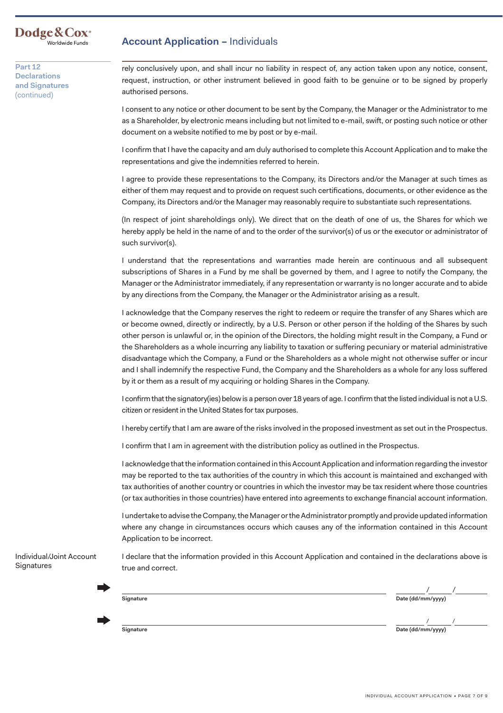#### **Dodge&Cox·** Worldwide Funds

**Part 12 Declarations and Signatures**  (continued)

### **Account Application –** Individuals

rely conclusively upon, and shall incur no liability in respect of, any action taken upon any notice, consent, request, instruction, or other instrument believed in good faith to be genuine or to be signed by properly authorised persons.

I consent to any notice or other document to be sent by the Company, the Manager or the Administrator to me as a Shareholder, by electronic means including but not limited to e-mail, swift, or posting such notice or other document on a website notified to me by post or by e-mail.

I confirm that I have the capacity and am duly authorised to complete this Account Application and to make the representations and give the indemnities referred to herein.

I agree to provide these representations to the Company, its Directors and/or the Manager at such times as either of them may request and to provide on request such certifications, documents, or other evidence as the Company, its Directors and/or the Manager may reasonably require to substantiate such representations.

(In respect of joint shareholdings only). We direct that on the death of one of us, the Shares for which we hereby apply be held in the name of and to the order of the survivor(s) of us or the executor or administrator of such survivor(s).

I understand that the representations and warranties made herein are continuous and all subsequent subscriptions of Shares in a Fund by me shall be governed by them, and I agree to notify the Company, the Manager or the Administrator immediately, if any representation or warranty is no longer accurate and to abide by any directions from the Company, the Manager or the Administrator arising as a result.

I acknowledge that the Company reserves the right to redeem or require the transfer of any Shares which are or become owned, directly or indirectly, by a U.S. Person or other person if the holding of the Shares by such other person is unlawful or, in the opinion of the Directors, the holding might result in the Company, a Fund or the Shareholders as a whole incurring any liability to taxation or suffering pecuniary or material administrative disadvantage which the Company, a Fund or the Shareholders as a whole might not otherwise suffer or incur and I shall indemnify the respective Fund, the Company and the Shareholders as a whole for any loss suffered by it or them as a result of my acquiring or holding Shares in the Company.

I confirm that the signatory(ies) below is a person over 18 years of age. I confirm that the listed individual is not a U.S. citizen or resident in the United States for tax purposes.

I hereby certify that I am are aware of the risks involved in the proposed investment as set out in the Prospectus.

I confirm that I am in agreement with the distribution policy as outlined in the Prospectus.

I acknowledge that the information contained in this Account Application and information regarding the investor may be reported to the tax authorities of the country in which this account is maintained and exchanged with tax authorities of another country or countries in which the investor may be tax resident where those countries (or tax authorities in those countries) have entered into agreements to exchange financial account information.

I undertake to advise the Company, the Manager or the Administrator promptly and provide updated information where any change in circumstances occurs which causes any of the information contained in this Account Application to be incorrect.

I declare that the information provided in this Account Application and contained in the declarations above is true and correct.

ı

Individual/Joint Account

**Signatures** 

/ / **Signature Date (dd/mm/yyyy)**

/ / **Signature Date (dd/mm/yyyy)**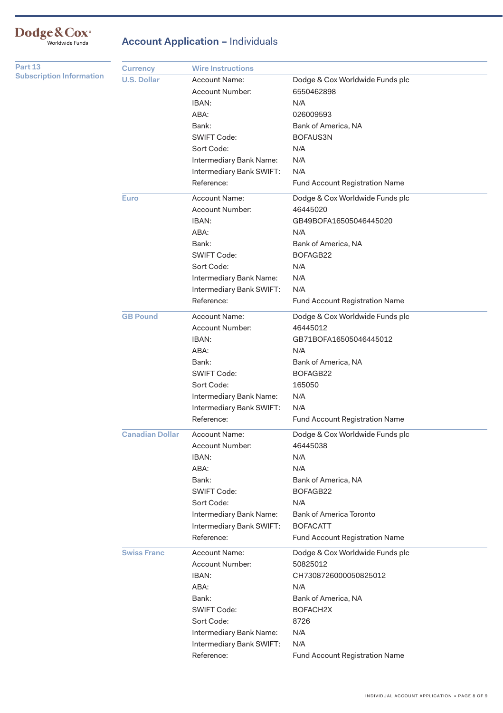# Dodge&Cox<sup>®</sup><br>Worldwide Funds

### **Account Application – Individuals**

| Part 13                         | <b>Currency</b>        | <b>Wire Instructions</b> |                                 |
|---------------------------------|------------------------|--------------------------|---------------------------------|
| <b>Subscription Information</b> | <b>U.S. Dollar</b>     | <b>Account Name:</b>     | Dodge & Cox Worldwide Funds plc |
|                                 |                        | Account Number:          | 6550462898                      |
|                                 |                        | IBAN:                    | N/A                             |
|                                 |                        | ABA:                     | 026009593                       |
|                                 |                        | Bank:                    | Bank of America, NA             |
|                                 |                        | <b>SWIFT Code:</b>       | BOFAUS3N                        |
|                                 |                        | Sort Code:               | N/A                             |
|                                 |                        | Intermediary Bank Name:  | N/A                             |
|                                 |                        | Intermediary Bank SWIFT: | N/A                             |
|                                 |                        | Reference:               | Fund Account Registration Name  |
|                                 | <b>Euro</b>            | <b>Account Name:</b>     | Dodge & Cox Worldwide Funds plc |
|                                 |                        | Account Number:          | 46445020                        |
|                                 |                        | IBAN:                    | GB49BOFA16505046445020          |
|                                 |                        | ABA:                     | N/A                             |
|                                 |                        | Bank:                    | Bank of America, NA             |
|                                 |                        | <b>SWIFT Code:</b>       | BOFAGB22                        |
|                                 |                        | Sort Code:               | N/A                             |
|                                 |                        | Intermediary Bank Name:  | N/A                             |
|                                 |                        | Intermediary Bank SWIFT: | N/A                             |
|                                 |                        | Reference:               | Fund Account Registration Name  |
|                                 | <b>GB Pound</b>        | Account Name:            | Dodge & Cox Worldwide Funds plc |
|                                 |                        | <b>Account Number:</b>   | 46445012                        |
|                                 |                        | IBAN:                    | GB71BOFA16505046445012          |
|                                 |                        | ABA:                     | N/A                             |
|                                 |                        | Bank:                    | Bank of America, NA             |
|                                 |                        | <b>SWIFT Code:</b>       | BOFAGB22                        |
|                                 |                        | Sort Code:               | 165050                          |
|                                 |                        | Intermediary Bank Name:  | N/A                             |
|                                 |                        | Intermediary Bank SWIFT: | N/A                             |
|                                 |                        | Reference:               | Fund Account Registration Name  |
|                                 | <b>Canadian Dollar</b> | <b>Account Name:</b>     | Dodge & Cox Worldwide Funds plc |
|                                 |                        | Account Number:          | 46445038                        |
|                                 |                        | IBAN:                    | N/A                             |
|                                 |                        | ABA:                     | N/A                             |
|                                 |                        | Bank:                    | Bank of America, NA             |
|                                 |                        | SWIFT Code:              | BOFAGB22                        |
|                                 |                        | Sort Code:               | N/A                             |
|                                 |                        | Intermediary Bank Name:  | <b>Bank of America Toronto</b>  |
|                                 |                        | Intermediary Bank SWIFT: | <b>BOFACATT</b>                 |
|                                 |                        | Reference:               | Fund Account Registration Name  |
|                                 | <b>Swiss Franc</b>     | Account Name:            | Dodge & Cox Worldwide Funds plc |
|                                 |                        | Account Number:          | 50825012                        |
|                                 |                        | IBAN:                    | CH7308726000050825012           |
|                                 |                        | ABA:                     | N/A                             |
|                                 |                        | Bank:                    | Bank of America, NA             |
|                                 |                        | <b>SWIFT Code:</b>       | BOFACH <sub>2X</sub>            |
|                                 |                        | Sort Code:               | 8726                            |
|                                 |                        | Intermediary Bank Name:  | N/A                             |
|                                 |                        | Intermediary Bank SWIFT: | N/A                             |
|                                 |                        | Reference:               | Fund Account Registration Name  |
|                                 |                        |                          |                                 |